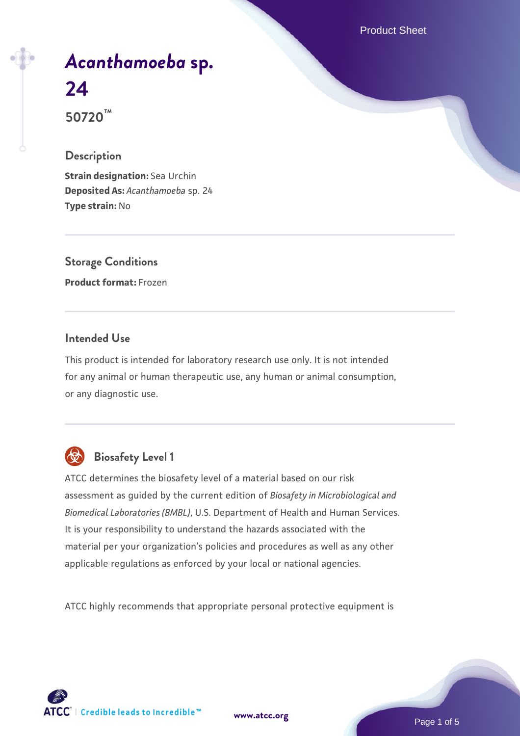Product Sheet

# *[Acanthamoeba](https://www.atcc.org/products/50720)* **[sp.](https://www.atcc.org/products/50720) [24](https://www.atcc.org/products/50720)**

**50720™**

## **Description**

**Strain designation:** Sea Urchin **Deposited As:** *Acanthamoeba* sp. 24 **Type strain:** No

**Storage Conditions Product format:** Frozen

# **Intended Use**

This product is intended for laboratory research use only. It is not intended for any animal or human therapeutic use, any human or animal consumption, or any diagnostic use.



# **Biosafety Level 1**

ATCC determines the biosafety level of a material based on our risk assessment as guided by the current edition of *Biosafety in Microbiological and Biomedical Laboratories (BMBL)*, U.S. Department of Health and Human Services. It is your responsibility to understand the hazards associated with the material per your organization's policies and procedures as well as any other applicable regulations as enforced by your local or national agencies.

ATCC highly recommends that appropriate personal protective equipment is

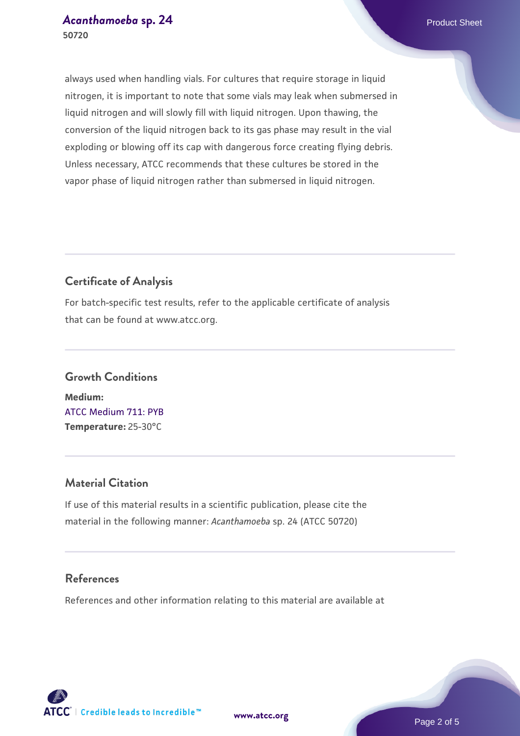always used when handling vials. For cultures that require storage in liquid nitrogen, it is important to note that some vials may leak when submersed in liquid nitrogen and will slowly fill with liquid nitrogen. Upon thawing, the conversion of the liquid nitrogen back to its gas phase may result in the vial exploding or blowing off its cap with dangerous force creating flying debris. Unless necessary, ATCC recommends that these cultures be stored in the vapor phase of liquid nitrogen rather than submersed in liquid nitrogen.

## **Certificate of Analysis**

For batch-specific test results, refer to the applicable certificate of analysis that can be found at www.atcc.org.

# **Growth Conditions Medium:**  [ATCC Medium 711: PYB](https://www.atcc.org/-/media/product-assets/documents/microbial-media-formulations/1/atcc-medium-711.pdf?rev=bc2f19e8300a40f59b7ff666165bdd85) **Temperature:** 25-30°C

# **Material Citation**

If use of this material results in a scientific publication, please cite the material in the following manner: *Acanthamoeba* sp. 24 (ATCC 50720)

## **References**

References and other information relating to this material are available at

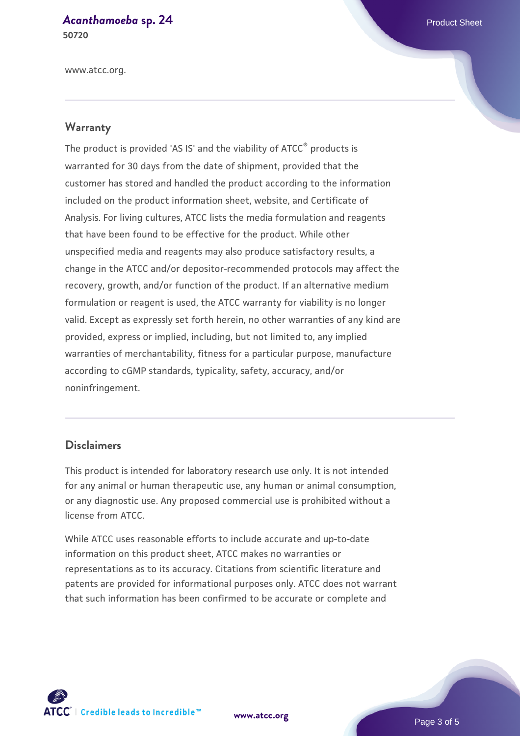#### *[Acanthamoeba](https://www.atcc.org/products/50720)* **[sp. 24](https://www.atcc.org/products/50720)** Product Sheet **50720**

www.atcc.org.

#### **Warranty**

The product is provided 'AS IS' and the viability of ATCC® products is warranted for 30 days from the date of shipment, provided that the customer has stored and handled the product according to the information included on the product information sheet, website, and Certificate of Analysis. For living cultures, ATCC lists the media formulation and reagents that have been found to be effective for the product. While other unspecified media and reagents may also produce satisfactory results, a change in the ATCC and/or depositor-recommended protocols may affect the recovery, growth, and/or function of the product. If an alternative medium formulation or reagent is used, the ATCC warranty for viability is no longer valid. Except as expressly set forth herein, no other warranties of any kind are provided, express or implied, including, but not limited to, any implied warranties of merchantability, fitness for a particular purpose, manufacture according to cGMP standards, typicality, safety, accuracy, and/or noninfringement.

#### **Disclaimers**

This product is intended for laboratory research use only. It is not intended for any animal or human therapeutic use, any human or animal consumption, or any diagnostic use. Any proposed commercial use is prohibited without a license from ATCC.

While ATCC uses reasonable efforts to include accurate and up-to-date information on this product sheet, ATCC makes no warranties or representations as to its accuracy. Citations from scientific literature and patents are provided for informational purposes only. ATCC does not warrant that such information has been confirmed to be accurate or complete and



**[www.atcc.org](http://www.atcc.org)**

Page 3 of 5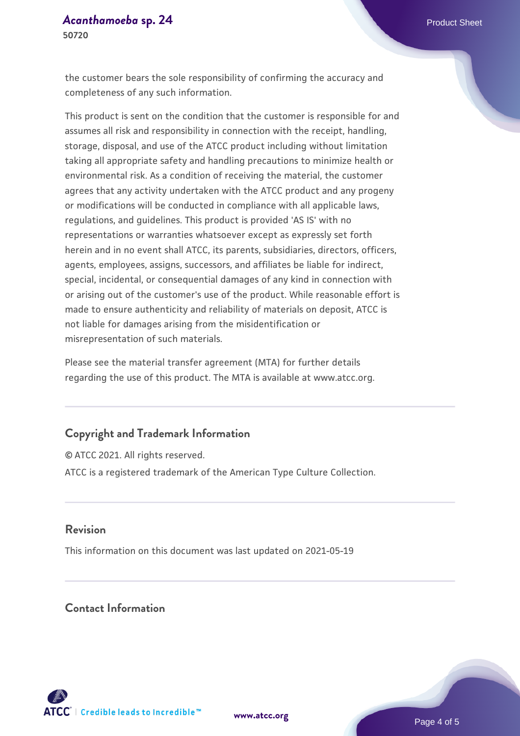the customer bears the sole responsibility of confirming the accuracy and completeness of any such information.

This product is sent on the condition that the customer is responsible for and assumes all risk and responsibility in connection with the receipt, handling, storage, disposal, and use of the ATCC product including without limitation taking all appropriate safety and handling precautions to minimize health or environmental risk. As a condition of receiving the material, the customer agrees that any activity undertaken with the ATCC product and any progeny or modifications will be conducted in compliance with all applicable laws, regulations, and guidelines. This product is provided 'AS IS' with no representations or warranties whatsoever except as expressly set forth herein and in no event shall ATCC, its parents, subsidiaries, directors, officers, agents, employees, assigns, successors, and affiliates be liable for indirect, special, incidental, or consequential damages of any kind in connection with or arising out of the customer's use of the product. While reasonable effort is made to ensure authenticity and reliability of materials on deposit, ATCC is not liable for damages arising from the misidentification or misrepresentation of such materials.

Please see the material transfer agreement (MTA) for further details regarding the use of this product. The MTA is available at www.atcc.org.

## **Copyright and Trademark Information**

© ATCC 2021. All rights reserved. ATCC is a registered trademark of the American Type Culture Collection.

#### **Revision**

This information on this document was last updated on 2021-05-19

# **Contact Information**



**[www.atcc.org](http://www.atcc.org)**

Page 4 of 5